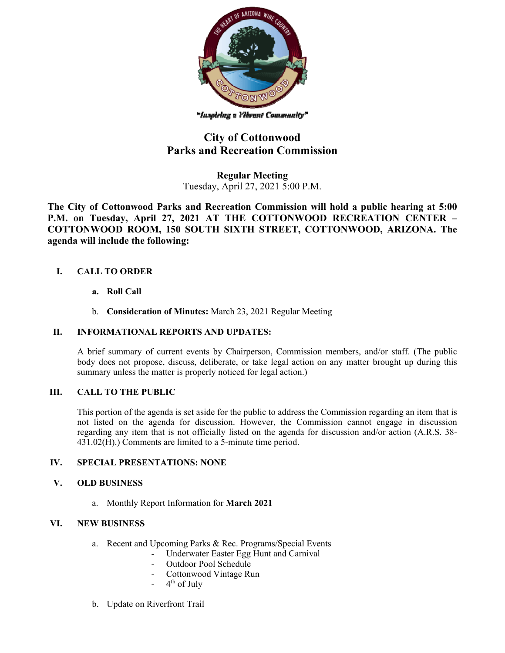

"Inspiring a Vibrunt Community"

# **City of Cottonwood Parks and Recreation Commission**

**Regular Meeting**  Tuesday, April 27, 2021 5:00 P.M.

**The City of Cottonwood Parks and Recreation Commission will hold a public hearing at 5:00 P.M. on Tuesday, April 27, 2021 AT THE COTTONWOOD RECREATION CENTER – COTTONWOOD ROOM, 150 SOUTH SIXTH STREET, COTTONWOOD, ARIZONA. The agenda will include the following:** 

### **I. CALL TO ORDER**

- **a. Roll Call**
- b. **Consideration of Minutes:** March 23, 2021 Regular Meeting

#### **II. INFORMATIONAL REPORTS AND UPDATES:**

A brief summary of current events by Chairperson, Commission members, and/or staff. (The public body does not propose, discuss, deliberate, or take legal action on any matter brought up during this summary unless the matter is properly noticed for legal action.)

#### **III. CALL TO THE PUBLIC**

This portion of the agenda is set aside for the public to address the Commission regarding an item that is not listed on the agenda for discussion. However, the Commission cannot engage in discussion regarding any item that is not officially listed on the agenda for discussion and/or action (A.R.S. 38- 431.02(H).) Comments are limited to a 5-minute time period.

#### **IV. SPECIAL PRESENTATIONS: NONE**

#### **V. OLD BUSINESS**

a. Monthly Report Information for **March 2021**

#### **VI. NEW BUSINESS**

- a. Recent and Upcoming Parks & Rec. Programs/Special Events
	- Underwater Easter Egg Hunt and Carnival
		- Outdoor Pool Schedule
		- Cottonwood Vintage Run
		- $4<sup>th</sup>$  of July
- b. Update on Riverfront Trail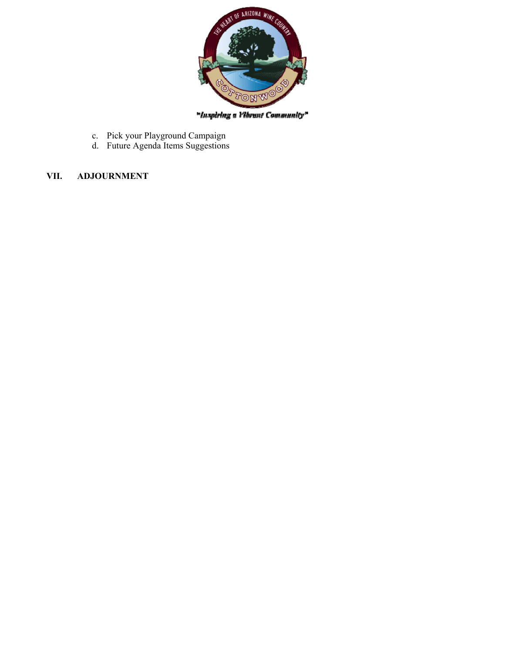

"Inspiring a Vibrant Community"

- c. Pick your Playground Campaign
- d. Future Agenda Items Suggestions

## **VII. ADJOURNMENT**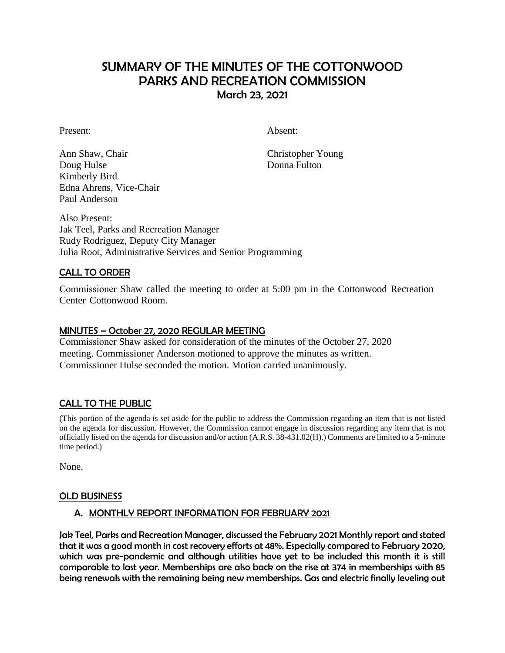# SUMMARY OF THE MINUTES OF THE COTTONWOOD PARKS AND RECREATION COMMISSION March 23, 2021

Present: Absent:

Ann Shaw, Chair Christopher Young Doug Hulse Donna Fulton Kimberly Bird Edna Ahrens, Vice-Chair Paul Anderson

Also Present: Jak Teel, Parks and Recreation Manager Rudy Rodriguez, Deputy City Manager Julia Root, Administrative Services and Senior Programming

### CALL TO ORDER

Commissioner Shaw called the meeting to order at 5:00 pm in the Cottonwood Recreation Center Cottonwood Room.

#### MINUTES – October 27, 2020 REGULAR MEETING

Commissioner Shaw asked for consideration of the minutes of the October 27, 2020 meeting. Commissioner Anderson motioned to approve the minutes as written. Commissioner Hulse seconded the motion. Motion carried unanimously.

### CALL TO THE PUBLIC

(This portion of the agenda is set aside for the public to address the Commission regarding an item that is not listed on the agenda for discussion. However, the Commission cannot engage in discussion regarding any item that is not officially listed on the agenda for discussion and/or action (A.R.S. 38-431.02(H).) Comments are limited to a 5-minute time period.)

None.

#### OLD BUSINESS

### A. MONTHLY REPORT INFORMATION FOR FEBRUARY 2021

Jak Teel, Parks and Recreation Manager, discussed the February 2021 Monthly report and stated that it was a good month in cost recovery efforts at 48%. Especially compared to February 2020, which was pre-pandemic and although utilities have yet to be included this month it is still comparable to last year. Memberships are also back on the rise at 374 in memberships with 85 being renewals with the remaining being new memberships. Gas and electric finally leveling out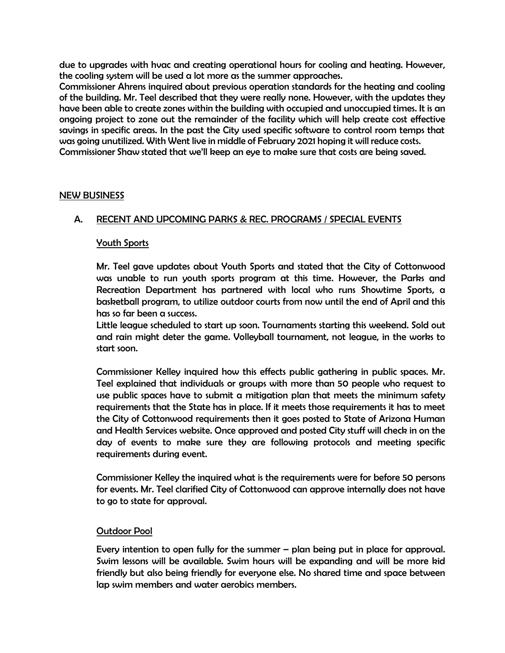due to upgrades with hvac and creating operational hours for cooling and heating. However, the cooling system will be used a lot more as the summer approaches.

Commissioner Ahrens inquired about previous operation standards for the heating and cooling of the building. Mr. Teel described that they were really none. However, with the updates they have been able to create zones within the building with occupied and unoccupied times. It is an ongoing project to zone out the remainder of the facility which will help create cost effective savings in specific areas. In the past the City used specific software to control room temps that was going unutilized. With Went live in middle of February 2021 hoping it will reduce costs. Commissioner Shaw stated that we'll keep an eye to make sure that costs are being saved.

#### NEW BUSINESS

#### A. RECENT AND UPCOMING PARKS & REC. PROGRAMS / SPECIAL EVENTS

#### Youth Sports

Mr. Teel gave updates about Youth Sports and stated that the City of Cottonwood was unable to run youth sports program at this time. However, the Parks and Recreation Department has partnered with local who runs Showtime Sports, a basketball program, to utilize outdoor courts from now until the end of April and this has so far been a success.

Little league scheduled to start up soon. Tournaments starting this weekend. Sold out and rain might deter the game. Volleyball tournament, not league, in the works to start soon.

Commissioner Kelley inquired how this effects public gathering in public spaces. Mr. Teel explained that individuals or groups with more than 50 people who request to use public spaces have to submit a mitigation plan that meets the minimum safety requirements that the State has in place. If it meets those requirements it has to meet the City of Cottonwood requirements then it goes posted to State of Arizona Human and Health Services website. Once approved and posted City stuff will check in on the day of events to make sure they are following protocols and meeting specific requirements during event.

Commissioner Kelley the inquired what is the requirements were for before 50 persons for events. Mr. Teel clarified City of Cottonwood can approve internally does not have to go to state for approval.

#### Outdoor Pool

Every intention to open fully for the summer – plan being put in place for approval. Swim lessons will be available. Swim hours will be expanding and will be more kid friendly but also being friendly for everyone else. No shared time and space between lap swim members and water aerobics members.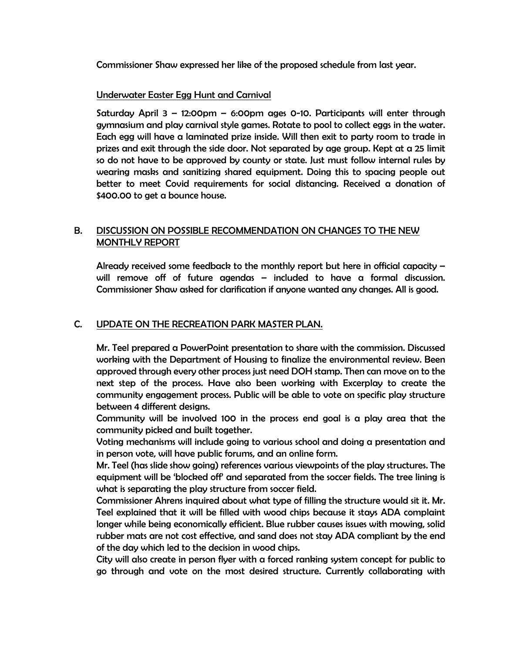Commissioner Shaw expressed her like of the proposed schedule from last year.

### Underwater Easter Egg Hunt and Carnival

Saturday April 3 – 12:00pm – 6:00pm ages 0-10. Participants will enter through gymnasium and play carnival style games. Rotate to pool to collect eggs in the water. Each egg will have a laminated prize inside. Will then exit to party room to trade in prizes and exit through the side door. Not separated by age group. Kept at a 25 limit so do not have to be approved by county or state. Just must follow internal rules by wearing masks and sanitizing shared equipment. Doing this to spacing people out better to meet Covid requirements for social distancing. Received a donation of \$400.00 to get a bounce house.

### B. DISCUSSION ON POSSIBLE RECOMMENDATION ON CHANGES TO THE NEW MONTHLY REPORT

Already received some feedback to the monthly report but here in official capacity – will remove off of future agendas – included to have a formal discussion. Commissioner Shaw asked for clarification if anyone wanted any changes. All is good.

## C. UPDATE ON THE RECREATION PARK MASTER PLAN.

Mr. Teel prepared a PowerPoint presentation to share with the commission. Discussed working with the Department of Housing to finalize the environmental review. Been approved through every other process just need DOH stamp. Then can move on to the next step of the process. Have also been working with Excerplay to create the community engagement process. Public will be able to vote on specific play structure between 4 different designs.

Community will be involved 100 in the process end goal is a play area that the community picked and built together.

Voting mechanisms will include going to various school and doing a presentation and in person vote, will have public forums, and an online form.

Mr. Teel (has slide show going) references various viewpoints of the play structures. The equipment will be 'blocked off' and separated from the soccer fields. The tree lining is what is separating the play structure from soccer field.

Commissioner Ahrens inquired about what type of filling the structure would sit it. Mr. Teel explained that it will be filled with wood chips because it stays ADA complaint longer while being economically efficient. Blue rubber causes issues with mowing, solid rubber mats are not cost effective, and sand does not stay ADA compliant by the end of the day which led to the decision in wood chips.

City will also create in person flyer with a forced ranking system concept for public to go through and vote on the most desired structure. Currently collaborating with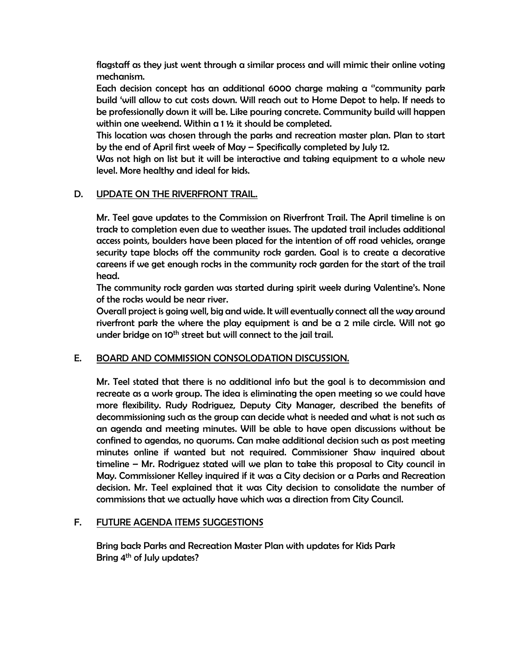flagstaff as they just went through a similar process and will mimic their online voting mechanism.

Each decision concept has an additional 6000 charge making a ''community park build 'will allow to cut costs down. Will reach out to Home Depot to help. If needs to be professionally down it will be. Like pouring concrete. Community build will happen within one weekend. Within a 1 ½ it should be completed.

This location was chosen through the parks and recreation master plan. Plan to start by the end of April first week of May – Specifically completed by July 12.

Was not high on list but it will be interactive and taking equipment to a whole new level. More healthy and ideal for kids.

### D. UPDATE ON THE RIVERFRONT TRAIL.

Mr. Teel gave updates to the Commission on Riverfront Trail. The April timeline is on track to completion even due to weather issues. The updated trail includes additional access points, boulders have been placed for the intention of off road vehicles, orange security tape blocks off the community rock garden. Goal is to create a decorative careens if we get enough rocks in the community rock garden for the start of the trail head.

The community rock garden was started during spirit week during Valentine's. None of the rocks would be near river.

Overall project is going well, big and wide. It will eventually connect all the way around riverfront park the where the play equipment is and be a 2 mile circle. Will not go under bridge on 10<sup>th</sup> street but will connect to the jail trail.

## E. BOARD AND COMMISSION CONSOLODATION DISCUSSION.

Mr. Teel stated that there is no additional info but the goal is to decommission and recreate as a work group. The idea is eliminating the open meeting so we could have more flexibility. Rudy Rodriguez, Deputy City Manager, described the benefits of decommissioning such as the group can decide what is needed and what is not such as an agenda and meeting minutes. Will be able to have open discussions without be confined to agendas, no quorums. Can make additional decision such as post meeting minutes online if wanted but not required. Commissioner Shaw inquired about timeline – Mr. Rodriguez stated will we plan to take this proposal to City council in May. Commissioner Kelley inquired if it was a City decision or a Parks and Recreation decision. Mr. Teel explained that it was City decision to consolidate the number of commissions that we actually have which was a direction from City Council.

## F. FUTURE AGENDA ITEMS SUGGESTIONS

Bring back Parks and Recreation Master Plan with updates for Kids Park Bring 4<sup>th</sup> of July updates?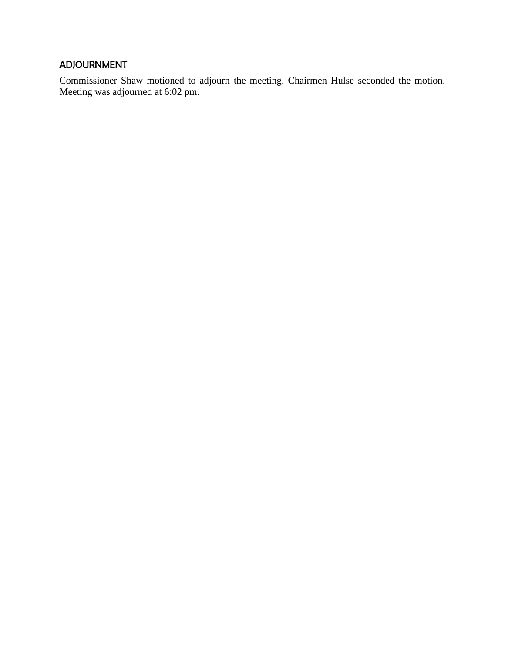# ADJOURNMENT

Commissioner Shaw motioned to adjourn the meeting. Chairmen Hulse seconded the motion. Meeting was adjourned at 6:02 pm.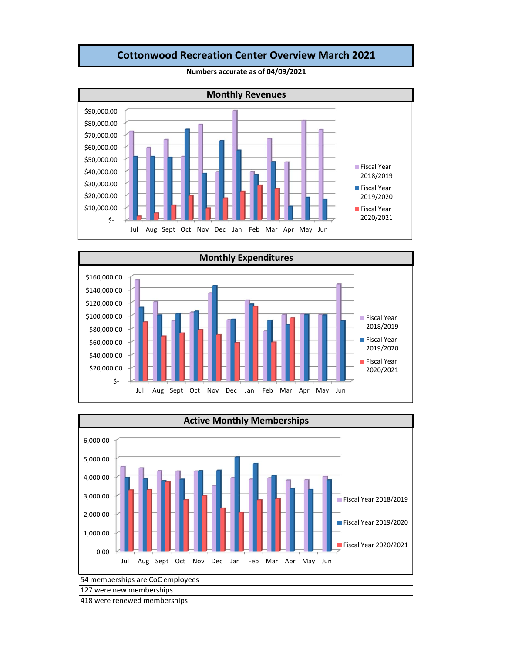### **Cottonwood Recreation Center Overview March 2021**



**Numbers accurate as of 04/09/2021**



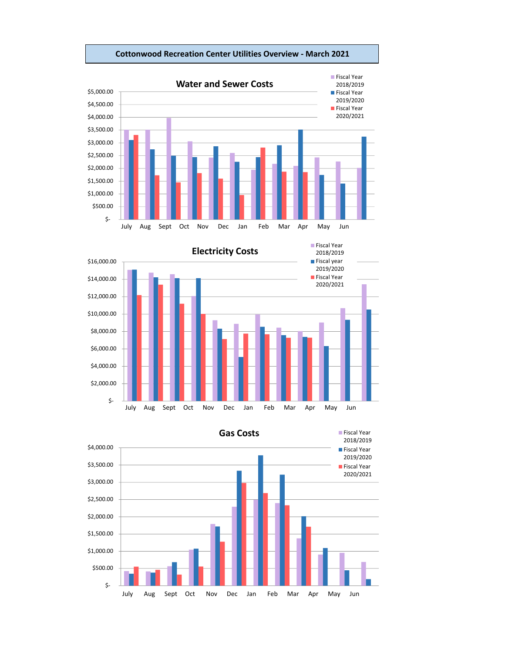

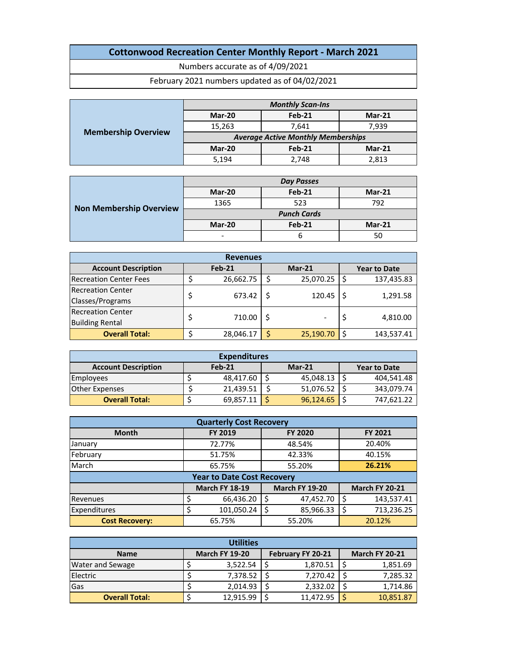# **Cottonwood Recreation Center Monthly Report ‐ March 2021**

Numbers accurate as of 4/09/2021

February 2021 numbers updated as of 04/02/2021

|                            |                                           | <b>Monthly Scan-Ins</b> |          |  |  |  |  |
|----------------------------|-------------------------------------------|-------------------------|----------|--|--|--|--|
| <b>Membership Overview</b> | Mar-20                                    | Feb-21                  | $Mar-21$ |  |  |  |  |
|                            | 15,263                                    | 7.641                   | 7,939    |  |  |  |  |
|                            | <b>Average Active Monthly Memberships</b> |                         |          |  |  |  |  |
|                            | Mar-20                                    | <b>Feb-21</b>           | $Mar-21$ |  |  |  |  |
|                            | 5,194                                     | 2.748                   | 2,813    |  |  |  |  |

|                                |                    | Day Passes    |          |  |  |  |
|--------------------------------|--------------------|---------------|----------|--|--|--|
| <b>Non Membership Overview</b> | Mar-20             | Feb-21        | $Mar-21$ |  |  |  |
|                                | 1365               | 523           | 792      |  |  |  |
|                                | <b>Punch Cards</b> |               |          |  |  |  |
|                                | Mar-20             | <b>Feb-21</b> | $Mar-21$ |  |  |  |
|                                | -                  | h             | 50       |  |  |  |

| <b>Revenues</b>               |        |           |          |           |  |                     |  |  |
|-------------------------------|--------|-----------|----------|-----------|--|---------------------|--|--|
| <b>Account Description</b>    | Feb-21 |           | $Mar-21$ |           |  | <b>Year to Date</b> |  |  |
| <b>Recreation Center Fees</b> |        | 26,662.75 | S        | 25,070.25 |  | 137,435.83          |  |  |
| <b>Recreation Center</b>      | 673.42 |           |          | 120.45    |  | 1,291.58            |  |  |
| Classes/Programs              |        |           |          |           |  |                     |  |  |
| <b>Recreation Center</b>      | 710.00 |           |          |           |  |                     |  |  |
| <b>Building Rental</b>        |        |           |          |           |  | 4,810.00            |  |  |
| <b>Overall Total:</b>         |        | 28,046.17 |          | 25,190.70 |  | 143,537.41          |  |  |

| <b>Expenditures</b>        |  |               |                     |           |  |            |  |  |  |
|----------------------------|--|---------------|---------------------|-----------|--|------------|--|--|--|
| <b>Account Description</b> |  | <b>Feb-21</b> | <b>Year to Date</b> |           |  |            |  |  |  |
| <b>Employees</b>           |  | 48,417.60     |                     | 45,048.13 |  | 404,541.48 |  |  |  |
| Other Expenses             |  | 21.439.51     |                     | 51,076.52 |  | 343.079.74 |  |  |  |
| <b>Overall Total:</b>      |  | 69,857.11     |                     | 96,124.65 |  | 747.621.22 |  |  |  |

| <b>Quarterly Cost Recovery</b> |                                                                         |                |                |  |  |  |  |  |  |
|--------------------------------|-------------------------------------------------------------------------|----------------|----------------|--|--|--|--|--|--|
| <b>Month</b>                   | FY 2019                                                                 | <b>FY 2020</b> | <b>FY 2021</b> |  |  |  |  |  |  |
| <b>January</b>                 | 72.77%                                                                  | 48.54%         | 20.40%         |  |  |  |  |  |  |
| February                       | 51.75%                                                                  | 42.33%         | 40.15%         |  |  |  |  |  |  |
| March                          | 65.75%                                                                  | 55.20%         | 26.21%         |  |  |  |  |  |  |
|                                | <b>Year to Date Cost Recovery</b>                                       |                |                |  |  |  |  |  |  |
|                                | <b>March FY 20-21</b><br><b>March FY 18-19</b><br><b>March FY 19-20</b> |                |                |  |  |  |  |  |  |
| Revenues                       | 66,436.20                                                               | 47,452.70<br>S | 143,537.41     |  |  |  |  |  |  |
| Expenditures                   | 101,050.24                                                              | 85,966.33      | 713,236.25     |  |  |  |  |  |  |
| <b>Cost Recovery:</b>          | 65.75%                                                                  | 55.20%         | 20.12%         |  |  |  |  |  |  |

| <b>Utilities</b>        |  |                       |  |                          |  |                       |  |  |  |
|-------------------------|--|-----------------------|--|--------------------------|--|-----------------------|--|--|--|
| <b>Name</b>             |  | <b>March FY 19-20</b> |  | <b>February FY 20-21</b> |  | <b>March FY 20-21</b> |  |  |  |
| <b>Water and Sewage</b> |  | 3,522.54              |  | 1,870.51                 |  | 1,851.69              |  |  |  |
| Electric                |  | 7,378.52              |  | 7,270.42                 |  | 7,285.32              |  |  |  |
| Gas                     |  | 2,014.93              |  | 2,332.02                 |  | 1,714.86              |  |  |  |
| <b>Overall Total:</b>   |  | 12.915.99             |  | 11.472.95                |  | 10,851.87             |  |  |  |